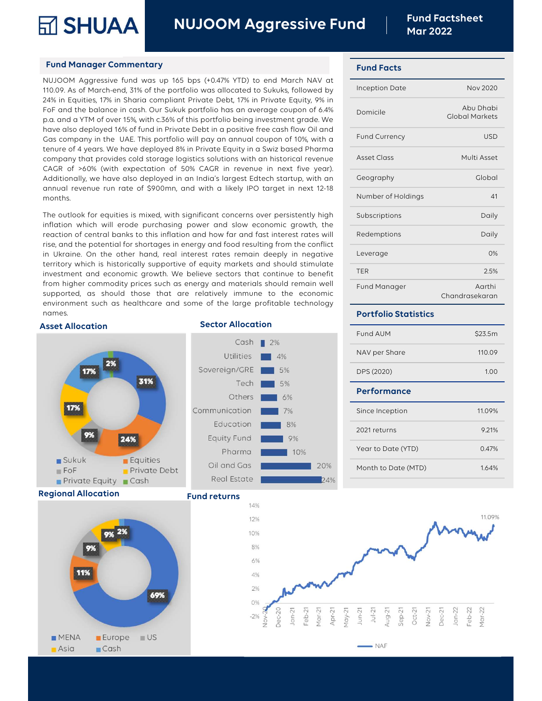NUJOOM Aggressive Fund Fund Factsheet

## Fund Manager Commentary

Fund Manager Commentary<br>
NUJOOM Aggressive Fund Nav at Fund Factsh<br>
Nar 2022<br>
NUJOOM Aggressive fund was up 165 bps (+0.47% YTD) to end March NAV at<br>
110.09. As of March-end, 31% of the portfolio was allocated to Sukuks, f Fund Manager Commentary<br>
Fund Manager Commentary<br>
NUJOOM Aggressive Fund Facts<br>
NUJOOM Aggressive fund was up 165 bps (+0.47% YTD) to end March NAV at<br>
110.09. As of March-end, 31% of the portfolio was allocated to Sukuks, **Example 18 SHUAA in Equiting SHUAA in Sharia compliant** Private Debt, 17% in Private Debt, 17% in Private Debt, 17% in Private Debt, 17% in Private Equity, 9% in Sharia compliant Private Debt, 17% in Private Equity, 9% Fund Manager Commentary<br>
Fund Manager Commentary<br>
NUJOOM Aggressive Fund Facts<br>
Mar 2022<br>
Fund Facts<br>
T10.09. As of March end, 3.1% of the portfolio was allocated to Sukuks, followed by<br>
24% in Equities, 17% in Sharia comp FUNCE MANA TRONG MANA TRIVIAL THE MANA TRIVIAL THE MANAGE CONDUCT AND THE MANAGE THAND THAND AND A THOUGHT AND A SAME THAND ON A SAME FOR SAME FOR SAME FOR SAME THAND FOR SAME THAND THAND THAND THAND THAND THAND THAND THAN Fund Manager Commentary<br>
Have also deployed to Sukuks, followed by<br>
The Facts<br>
NUJOOM Aggressive fund was up 165 bps (+0.47% YTD) to end March NAV at<br>
110.09. As of March-end, 31% of the portfolio was allocated to Sukuks, Fund Manager Commentary<br>
NUJOOM Aggressive fund was up 165 bps (+0.47% YTD) to end March NAV at<br>
110.09. As of March-end, 31% of the portfolio was allocated to Sukuks, followed by<br>
110.09. As of March-end, 31% of the portf Fund Manager Commentary<br>
NUJOOM Aggressive fund was up 165 bps (+0.47% YTD) to end March NAV at<br>
110.09. As of March-end, 31% of the portfolio was allocated to Sukuks, followed by<br>
24% in Equities, 17% in Sharia compliant Fund Manager Commentary<br>
NUJOOM Aggressive fund was up 165 bps (+0.47% YTD) to end March NAV at<br>
110.09. As of March-end, 31% of the portfolio was allocated to Sukuks, followed by<br>
FoF and the balance in cash. Our Sukuk po NUJOOM Aggressive fund was up 165 bps (+0.47% YTD) to end March NAV at 110.09. As of March-end, 31% of the portfolio was allocated to Sukuks, followed by lnception Date 24% in Equities, 17% in Sharia compliant Private Debt NOOPIC Hayressive found was by too spy to the portfolio was allocated to Sukuks, followed by<br>
110.09. As of March-end, 31% of the portfolio was allocated to Sukuks, followed by<br>
The Form and a YTM of over 15% with c.36% of The outlook for equities is mixed, with significant concerns over persistently high<br>The outlook for equities, 17% in Sharia compliant Private Debt, 17% in Private Equity, 9% in<br>FoF and the balance in cash. Our Sukuk portfo months. p.a. and a YTM of over 15%, with c.36% of this portfolio being investment grade. We<br>have also deployed 16% of fund in Private Debt in a positive free cash flow Oil and Cars company in the UAE. This portfolio will pay an an have also deployed 16% of fund in Private Debt in a positive free cash flow Oil and<br>Cas company in the UAE. This portfolio will pay an annual coupon of 10%, with a<br>fenure of 4 years. We have deployed 8% in Private Equity i

Gas company in the UAE. This portfolio will pay an annual coupon of 10%, with a<br>
tenure of 4 years. We have deployed 8% in Private Equity in a Swiz bassed Pharma<br>
company that provides cold storage logistics solutions with tenure of 4 years. We have deployed 8% in Private Equity in a Swiz based Pharma<br>
cAGR of >60% (with expectation of 50% CAGR in revenue in next five year).<br>
CAGR of >60% (with expectation of 50% CAGR in revenue in next five company that provides cold storage logistics solutions with an historical revenue<br>
CAGR of >60% (with expectation of 50% CAGR in revenue in next five year).<br>
Additionally, we have also deployed in an India's largest Edtech CAGR of >60% (with expectation of 50% CAGR in revenue in next five year).<br>
Additionally, we have also deployed in an India's largest Edtech startup, with an<br>
annual revenue run rate of \$900mn, and with a likely IPO target Additionally, we have also deployed in an India's largest Edtech startup, with an<br>
months.<br>
months.<br>
The outlook for equities is mixed, with significant concerns over persistently high<br>
inflation which will erode purchasin mound revenue run rate of \$900mn, and with a likely IPO target in next 12-18<br>
months.<br>
The outlook for equities is mixed, with significant concerns over persistently high<br>
inflation which will erode purchasing power and sl months.<br>
The outlook for equities is mixed, with significant concerns over persistently high<br>
inflation which will erode purchasing power and slow economic growth, the<br>
reaction of central banks to this inflation and how f The outlook for equities is mixed, with significant concerns over persistently high<br>
inflation which will erode purchasing power and slow economic growth, the<br>
reaction of central banks to this inflation and how far and fa

## Asset Allocation **Sector Allocation**



Regional Allocation



## Fund returns



## Fund Facts

| າເ<br><b>Mar 2022</b>       | <b>Fund Factsheet</b>              |
|-----------------------------|------------------------------------|
| <b>Fund Facts</b>           |                                    |
| <b>Inception Date</b>       | <b>Nov 2020</b>                    |
| Domicile                    | Abu Dhabi<br><b>Global Markets</b> |
| Fund Currency               | <b>USD</b>                         |
| <b>Asset Class</b>          | Multi Asset                        |
| Geography                   | Global                             |
| Number of Holdings          | 41                                 |
| Subscriptions               | Daily                              |
| Redemptions                 | Daily                              |
| Leverage                    | 0%                                 |
| <b>TER</b>                  | 2.5%                               |
| Fund Manager                | Aarthi<br>Chandrasekaran           |
| <b>Portfolio Statistics</b> |                                    |
| Fund AUM                    | \$23.5m                            |
| NAV per Share               | 110.09                             |
| DPS (2020)                  | 1.00                               |

## Portfolio Statistics

| covoi ugo                   | $\sim$ 7 $\circ$         |
|-----------------------------|--------------------------|
| <b>TER</b>                  | 2.5%                     |
| Fund Manager                | Aarthi<br>Chandrasekaran |
| <b>Portfolio Statistics</b> |                          |
| Fund AUM                    | \$23.5m                  |
| NAV per Share               | 110.09                   |
| DPS (2020)                  | 1.00                     |
| <b>Performance</b>          |                          |
| Since Inception             | 11.09%                   |
| 2021 returns                | 9.21%                    |
| Year to Date (YTD)          | 0.47%                    |
| Month to Date (MTD)         | 1.64%                    |
|                             |                          |
|                             |                          |
|                             |                          |